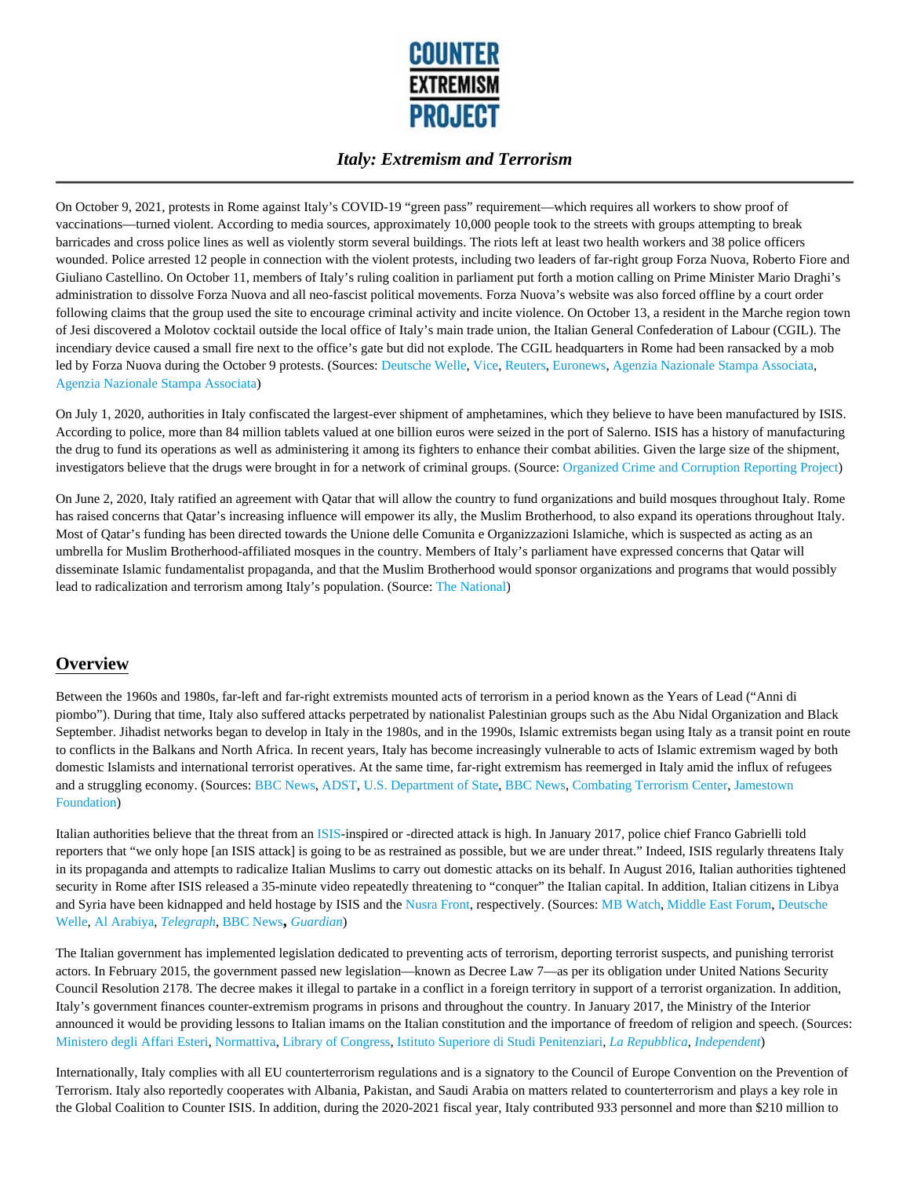

On October 9, 2021, protests in Rome against Italy's COVID-19 "green pass" requirement—which requires all workers to show proof of vaccinations—turned violent. According to media sources, approximately 10,000 people took to the streets with groups attempting to break barricades and cross police lines as well as violently storm several buildings. The riots left at least two health workers and 38 police officers wounded. Police arrested 12 people in connection with the violent protests, including two leaders of far-right group Forza Nuova, Roberto Fiore and Giuliano Castellino. On October 11, members of Italy's ruling coalition in parliament put forth a motion calling on Prime Minister Mario Draghi's administration to dissolve Forza Nuova and all neo-fascist political movements. Forza Nuova's website was also forced offline by a court order following claims that the group used the site to encourage criminal activity and incite violence. On October 13, a resident in the Marche region town of Jesi discovered a Molotov cocktail outside the local office of Italy's main trade union, the Italian General Confederation of Labour (CGIL). The incendiary device caused a small fire next to the office's gate but did not explode. The CGIL headquarters in Rome had been ransacked by a mob led by Forza Nuova during the October 9 protests. (Sources: Deutsche Welle, Vice, Reuters, Euronews, Agenzia Nazionale Stampa Associata, Agenzia Nazionale Stampa Associata)

On July 1, 2020, authorities in Italy confiscated the largest-ever shipment of amphetamines, which they believe to have been manufactured by ISIS. According to police, more than 84 million tablets valued at one billion euros were seized in the port of Salerno. ISIS has a history of manufacturing the drug to fund its operations as well as administering it among its fighters to enhance their combat abilities. Given the large size of the shipment, investigators believe that the drugs were brought in for a network of criminal groups. (Source: Organized Crime and Corruption Reporting Project)

On June 2, 2020, Italy ratified an agreement with Qatar that will allow the country to fund organizations and build mosques throughout Italy. Rome has raised concerns that Qatar's increasing influence will empower its ally, the Muslim Brotherhood, to also expand its operations throughout Italy. Most of Qatar's funding has been directed towards the Unione delle Comunita e Organizzazioni Islamiche, which is suspected as acting as an umbrella for Muslim Brotherhood-affiliated mosques in the country. Members of Italy's parliament have expressed concerns that Qatar will disseminate Islamic fundamentalist propaganda, and that the Muslim Brotherhood would sponsor organizations and programs that would possibly lead to radicalization and terrorism among Italy's population. (Source: The National)

### **Overview**

Between the 1960s and 1980s, far-left and far-right extremists mounted acts of terrorism in a period known as the Years of Lead ("Anni di piombo"). During that time, Italy also suffered attacks perpetrated by nationalist Palestinian groups such as the Abu Nidal Organization and Black September. Jihadist networks began to develop in Italy in the 1980s, and in the 1990s, Islamic extremists began using Italy as a transit point en route to conflicts in the Balkans and North Africa. In recent years, Italy has become increasingly vulnerable to acts of Islamic extremism waged by both domestic Islamists and international terrorist operatives. At the same time, far-right extremism has reemerged in Italy amid the influx of refugees and a struggling economy. (Sources: BBC News, ADST, U.S. Department of State, BBC News, Combating Terrorism Center, Jamestown Foundation)

Italian authorities believe that the threat from an ISIS-inspired or -directed attack is high. In January 2017, police chief Franco Gabrielli told reporters that "we only hope [an ISIS attack] is going to be as restrained as possible, but we are under threat." Indeed, ISIS regularly threatens Italy in its propaganda and attempts to radicalize Italian Muslims to carry out domestic attacks on its behalf. In August 2016, Italian authorities tightened security in Rome after ISIS released a 35-minute video repeatedly threatening to "conquer" the Italian capital. In addition, Italian citizens in Libya and Syria have been kidnapped and held hostage by ISIS and the Nusra Front, respectively. (Sources: MB Watch, Middle East Forum, Deutsche Welle, Al Arabiya, *Telegraph*, BBC News**,** *Guardian*)

The Italian government has implemented legislation dedicated to preventing acts of terrorism, deporting terrorist suspects, and punishing terrorist actors. In February 2015, the government passed new legislation—known as Decree Law 7—as per its obligation under United Nations Security Council Resolution 2178. The decree makes it illegal to partake in a conflict in a foreign territory in support of a terrorist organization. In addition, Italy's government finances counter-extremism programs in prisons and throughout the country. In January 2017, the Ministry of the Interior announced it would be providing lessons to Italian imams on the Italian constitution and the importance of freedom of religion and speech. (Sources: Ministero degli Affari Esteri, Normattiva, Library of Congress, Istituto Superiore di Studi Penitenziari, *La Repubblica*, *Independent*)

Internationally, Italy complies with all EU counterterrorism regulations and is a signatory to the Council of Europe Convention on the Prevention of Terrorism. Italy also reportedly cooperates with Albania, Pakistan, and Saudi Arabia on matters related to counterterrorism and plays a key role in the Global Coalition to Counter ISIS. In addition, during the 2020-2021 fiscal year, Italy contributed 933 personnel and more than \$210 million to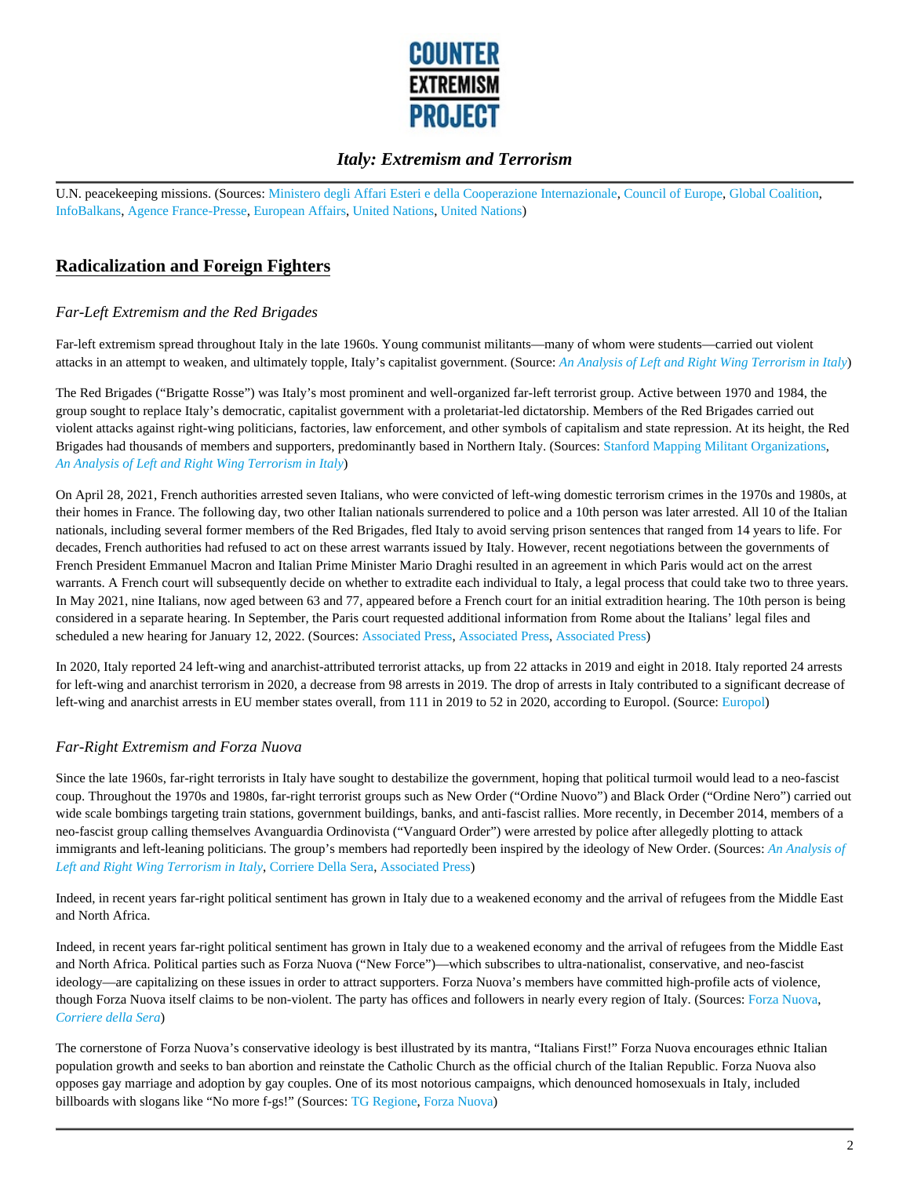

U.N. peacekeeping missions. (Sources: Ministero degli Affari Esteri e della Cooperazione Internazionale, Council of Europe, Global Coalition, InfoBalkans, Agence France-Presse, European Affairs, United Nations, United Nations)

# **Radicalization and Foreign Fighters**

### *Far-Left Extremism and the Red Brigades*

Far-left extremism spread throughout Italy in the late 1960s. Young communist militants—many of whom were students—carried out violent attacks in an attempt to weaken, and ultimately topple, Italy's capitalist government. (Source: *An Analysis of Left and Right Wing Terrorism in Italy*)

The Red Brigades ("Brigatte Rosse") was Italy's most prominent and well-organized far-left terrorist group. Active between 1970 and 1984, the group sought to replace Italy's democratic, capitalist government with a proletariat-led dictatorship. Members of the Red Brigades carried out violent attacks against right-wing politicians, factories, law enforcement, and other symbols of capitalism and state repression. At its height, the Red Brigades had thousands of members and supporters, predominantly based in Northern Italy. (Sources: Stanford Mapping Militant Organizations, *An Analysis of Left and Right Wing Terrorism in Italy*)

On April 28, 2021, French authorities arrested seven Italians, who were convicted of left-wing domestic terrorism crimes in the 1970s and 1980s, at their homes in France. The following day, two other Italian nationals surrendered to police and a 10th person was later arrested. All 10 of the Italian nationals, including several former members of the Red Brigades, fled Italy to avoid serving prison sentences that ranged from 14 years to life. For decades, French authorities had refused to act on these arrest warrants issued by Italy. However, recent negotiations between the governments of French President Emmanuel Macron and Italian Prime Minister Mario Draghi resulted in an agreement in which Paris would act on the arrest warrants. A French court will subsequently decide on whether to extradite each individual to Italy, a legal process that could take two to three years. In May 2021, nine Italians, now aged between 63 and 77, appeared before a French court for an initial extradition hearing. The 10th person is being considered in a separate hearing. In September, the Paris court requested additional information from Rome about the Italians' legal files and scheduled a new hearing for January 12, 2022. (Sources: Associated Press, Associated Press, Associated Press)

In 2020, Italy reported 24 left-wing and anarchist-attributed terrorist attacks, up from 22 attacks in 2019 and eight in 2018. Italy reported 24 arrests for left-wing and anarchist terrorism in 2020, a decrease from 98 arrests in 2019. The drop of arrests in Italy contributed to a significant decrease of left-wing and anarchist arrests in EU member states overall, from 111 in 2019 to 52 in 2020, according to Europol. (Source: Europol)

#### *Far-Right Extremism and Forza Nuova*

Since the late 1960s, far-right terrorists in Italy have sought to destabilize the government, hoping that political turmoil would lead to a neo-fascist coup. Throughout the 1970s and 1980s, far-right terrorist groups such as New Order ("Ordine Nuovo") and Black Order ("Ordine Nero") carried out wide scale bombings targeting train stations, government buildings, banks, and anti-fascist rallies. More recently, in December 2014, members of a neo-fascist group calling themselves Avanguardia Ordinovista ("Vanguard Order") were arrested by police after allegedly plotting to attack immigrants and left-leaning politicians. The group's members had reportedly been inspired by the ideology of New Order. (Sources: *An Analysis of Left and Right Wing Terrorism in Italy*, Corriere Della Sera, Associated Press)

Indeed, in recent years far-right political sentiment has grown in Italy due to a weakened economy and the arrival of refugees from the Middle East and North Africa.

Indeed, in recent years far-right political sentiment has grown in Italy due to a weakened economy and the arrival of refugees from the Middle East and North Africa. Political parties such as Forza Nuova ("New Force")—which subscribes to ultra-nationalist, conservative, and neo-fascist ideology—are capitalizing on these issues in order to attract supporters. Forza Nuova's members have committed high-profile acts of violence, though Forza Nuova itself claims to be non-violent. The party has offices and followers in nearly every region of Italy. (Sources: Forza Nuova, *Corriere della Sera*)

The cornerstone of Forza Nuova's conservative ideology is best illustrated by its mantra, "Italians First!" Forza Nuova encourages ethnic Italian population growth and seeks to ban abortion and reinstate the Catholic Church as the official church of the Italian Republic. Forza Nuova also opposes gay marriage and adoption by gay couples. One of its most notorious campaigns, which denounced homosexuals in Italy, included billboards with slogans like "No more f-gs!" (Sources: TG Regione, Forza Nuova)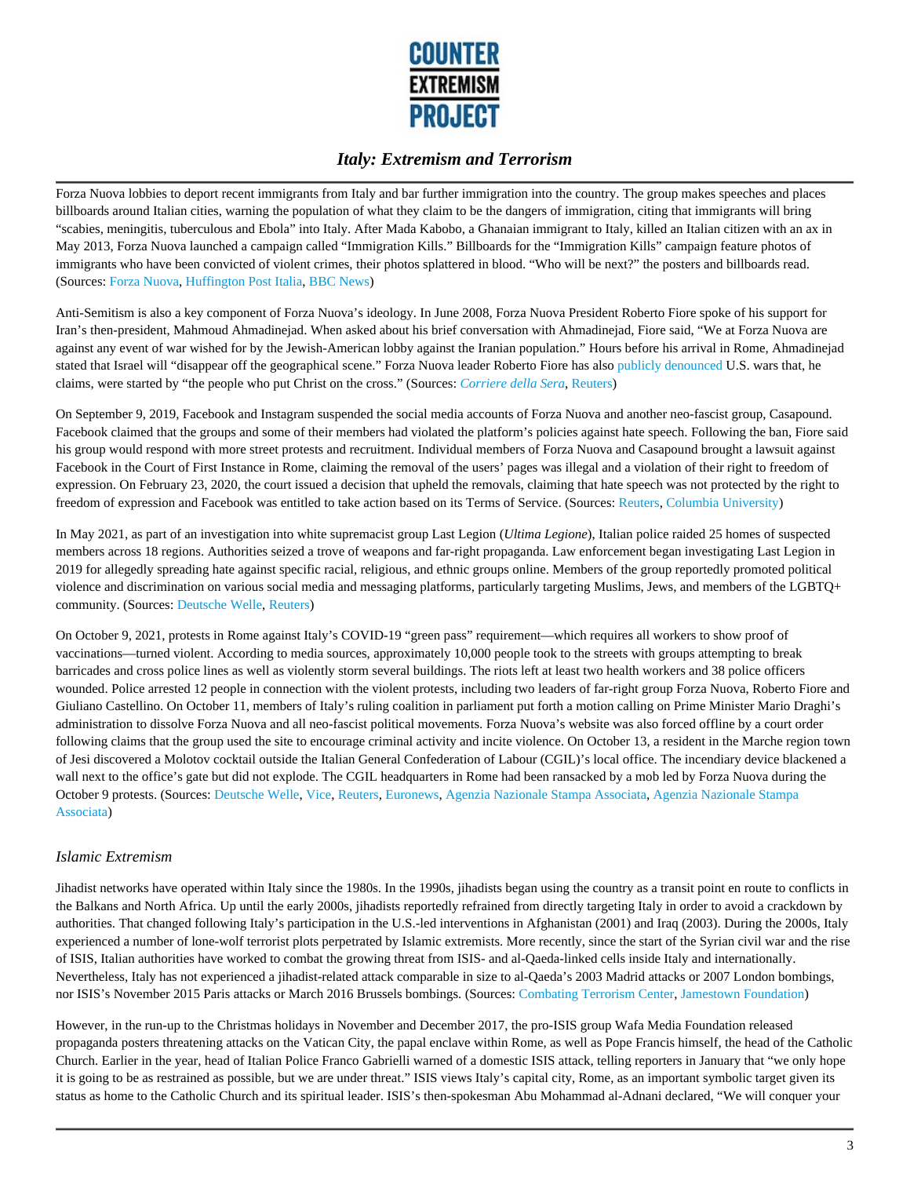

Forza Nuova lobbies to deport recent immigrants from Italy and bar further immigration into the country. The group makes speeches and places billboards around Italian cities, warning the population of what they claim to be the dangers of immigration, citing that immigrants will bring "scabies, meningitis, tuberculous and Ebola" into Italy. After Mada Kabobo, a Ghanaian immigrant to Italy, killed an Italian citizen with an ax in May 2013, Forza Nuova launched a campaign called "Immigration Kills." Billboards for the "Immigration Kills" campaign feature photos of immigrants who have been convicted of violent crimes, their photos splattered in blood. "Who will be next?" the posters and billboards read. (Sources: Forza Nuova, Huffington Post Italia, BBC News)

Anti-Semitism is also a key component of Forza Nuova's ideology. In June 2008, Forza Nuova President Roberto Fiore spoke of his support for Iran's then-president, Mahmoud Ahmadinejad. When asked about his brief conversation with Ahmadinejad, Fiore said, "We at Forza Nuova are against any event of war wished for by the Jewish-American lobby against the Iranian population." Hours before his arrival in Rome, Ahmadinejad stated that Israel will "disappear off the geographical scene." Forza Nuova leader Roberto Fiore has also publicly denounced U.S. wars that, he claims, were started by "the people who put Christ on the cross." (Sources: *Corriere della Sera*, Reuters)

On September 9, 2019, Facebook and Instagram suspended the social media accounts of Forza Nuova and another neo-fascist group, Casapound. Facebook claimed that the groups and some of their members had violated the platform's policies against hate speech. Following the ban, Fiore said his group would respond with more street protests and recruitment. Individual members of Forza Nuova and Casapound brought a lawsuit against Facebook in the Court of First Instance in Rome, claiming the removal of the users' pages was illegal and a violation of their right to freedom of expression. On February 23, 2020, the court issued a decision that upheld the removals, claiming that hate speech was not protected by the right to freedom of expression and Facebook was entitled to take action based on its Terms of Service. (Sources: Reuters, Columbia University)

In May 2021, as part of an investigation into white supremacist group Last Legion (*Ultima Legione*), Italian police raided 25 homes of suspected members across 18 regions. Authorities seized a trove of weapons and far-right propaganda. Law enforcement began investigating Last Legion in 2019 for allegedly spreading hate against specific racial, religious, and ethnic groups online. Members of the group reportedly promoted political violence and discrimination on various social media and messaging platforms, particularly targeting Muslims, Jews, and members of the LGBTQ+ community. (Sources: Deutsche Welle, Reuters)

On October 9, 2021, protests in Rome against Italy's COVID-19 "green pass" requirement—which requires all workers to show proof of vaccinations—turned violent. According to media sources, approximately 10,000 people took to the streets with groups attempting to break barricades and cross police lines as well as violently storm several buildings. The riots left at least two health workers and 38 police officers wounded. Police arrested 12 people in connection with the violent protests, including two leaders of far-right group Forza Nuova, Roberto Fiore and Giuliano Castellino. On October 11, members of Italy's ruling coalition in parliament put forth a motion calling on Prime Minister Mario Draghi's administration to dissolve Forza Nuova and all neo-fascist political movements. Forza Nuova's website was also forced offline by a court order following claims that the group used the site to encourage criminal activity and incite violence. On October 13, a resident in the Marche region town of Jesi discovered a Molotov cocktail outside the Italian General Confederation of Labour (CGIL)'s local office. The incendiary device blackened a wall next to the office's gate but did not explode. The CGIL headquarters in Rome had been ransacked by a mob led by Forza Nuova during the October 9 protests. (Sources: Deutsche Welle, Vice, Reuters, Euronews, Agenzia Nazionale Stampa Associata, Agenzia Nazionale Stampa Associata)

#### *Islamic Extremism*

Jihadist networks have operated within Italy since the 1980s. In the 1990s, jihadists began using the country as a transit point en route to conflicts in the Balkans and North Africa. Up until the early 2000s, jihadists reportedly refrained from directly targeting Italy in order to avoid a crackdown by authorities. That changed following Italy's participation in the U.S.-led interventions in Afghanistan (2001) and Iraq (2003). During the 2000s, Italy experienced a number of lone-wolf terrorist plots perpetrated by Islamic extremists. More recently, since the start of the Syrian civil war and the rise of ISIS, Italian authorities have worked to combat the growing threat from ISIS- and al-Qaeda-linked cells inside Italy and internationally. Nevertheless, Italy has not experienced a jihadist-related attack comparable in size to al-Qaeda's 2003 Madrid attacks or 2007 London bombings, nor ISIS's November 2015 Paris attacks or March 2016 Brussels bombings. (Sources: Combating Terrorism Center, Jamestown Foundation)

However, in the run-up to the Christmas holidays in November and December 2017, the pro-ISIS group Wafa Media Foundation released propaganda posters threatening attacks on the Vatican City, the papal enclave within Rome, as well as Pope Francis himself, the head of the Catholic Church. Earlier in the year, head of Italian Police Franco Gabrielli warned of a domestic ISIS attack, telling reporters in January that "we only hope it is going to be as restrained as possible, but we are under threat." ISIS views Italy's capital city, Rome, as an important symbolic target given its status as home to the Catholic Church and its spiritual leader. ISIS's then-spokesman Abu Mohammad al-Adnani declared, "We will conquer your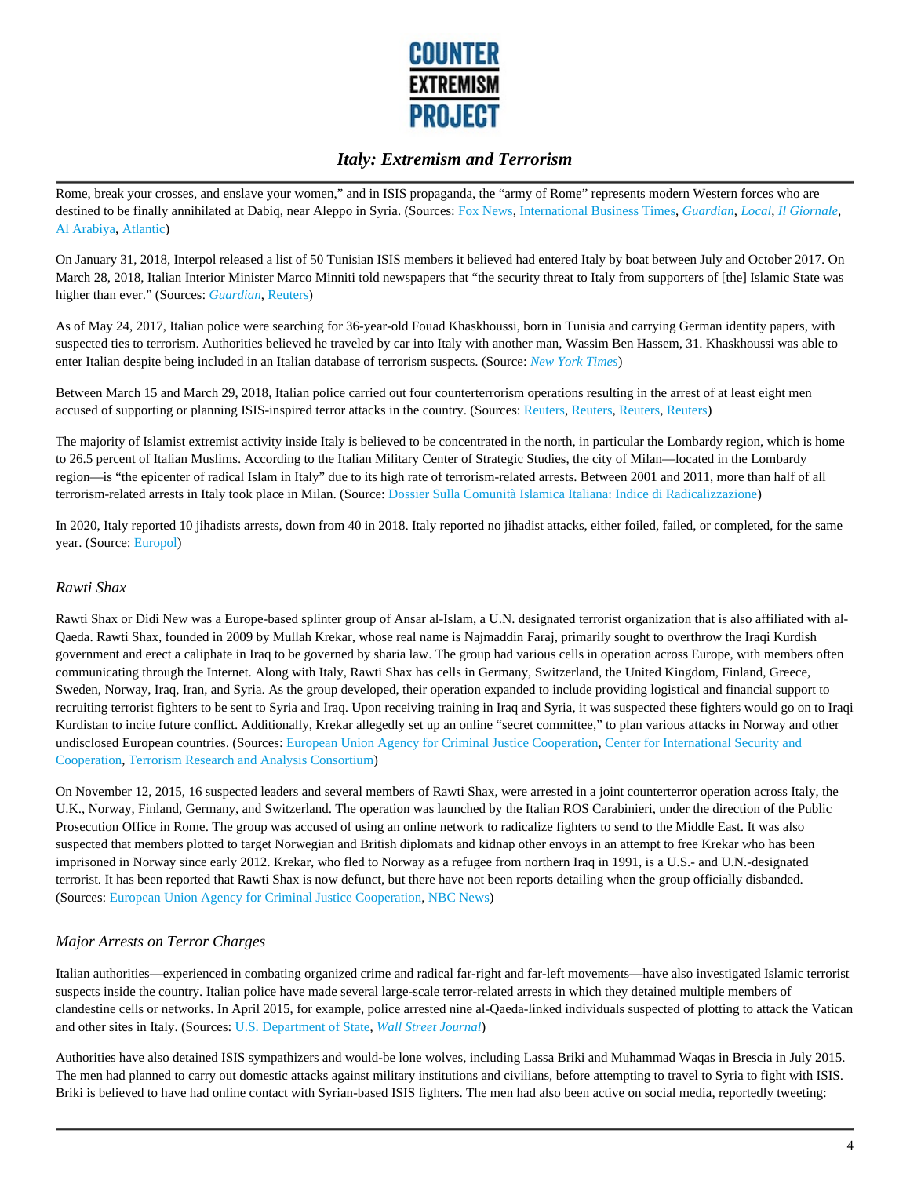

Rome, break your crosses, and enslave your women," and in ISIS propaganda, the "army of Rome" represents modern Western forces who are destined to be finally annihilated at Dabiq, near Aleppo in Syria. (Sources: Fox News, International Business Times, *Guardian*, *Local*, *Il Giornale,* Al Arabiya, Atlantic)

On January 31, 2018, Interpol released a list of 50 Tunisian ISIS members it believed had entered Italy by boat between July and October 2017. On March 28, 2018, Italian Interior Minister Marco Minniti told newspapers that "the security threat to Italy from supporters of [the] Islamic State was higher than ever." (Sources: *Guardian*, Reuters)

As of May 24, 2017, Italian police were searching for 36-year-old Fouad Khaskhoussi, born in Tunisia and carrying German identity papers, with suspected ties to terrorism. Authorities believed he traveled by car into Italy with another man, Wassim Ben Hassem, 31. Khaskhoussi was able to enter Italian despite being included in an Italian database of terrorism suspects. (Source: *New York Times*)

Between March 15 and March 29, 2018, Italian police carried out four counterterrorism operations resulting in the arrest of at least eight men accused of supporting or planning ISIS-inspired terror attacks in the country. (Sources: Reuters, Reuters, Reuters, Reuters)

The majority of Islamist extremist activity inside Italy is believed to be concentrated in the north, in particular the Lombardy region, which is home to 26.5 percent of Italian Muslims. According to the Italian Military Center of Strategic Studies, the city of Milan—located in the Lombardy region—is "the epicenter of radical Islam in Italy" due to its high rate of terrorism-related arrests. Between 2001 and 2011, more than half of all terrorism-related arrests in Italy took place in Milan. (Source: Dossier Sulla Comunità Islamica Italiana: Indice di Radicalizzazione)

In 2020, Italy reported 10 jihadists arrests, down from 40 in 2018. Italy reported no jihadist attacks, either foiled, failed, or completed, for the same year. (Source: Europol)

#### *Rawti Shax*

Rawti Shax or Didi New was a Europe-based splinter group of Ansar al-Islam, a U.N. designated terrorist organization that is also affiliated with al-Qaeda. Rawti Shax, founded in 2009 by Mullah Krekar, whose real name is Najmaddin Faraj, primarily sought to overthrow the Iraqi Kurdish government and erect a caliphate in Iraq to be governed by sharia law. The group had various cells in operation across Europe, with members often communicating through the Internet. Along with Italy, Rawti Shax has cells in Germany, Switzerland, the United Kingdom, Finland, Greece, Sweden, Norway, Iraq, Iran, and Syria. As the group developed, their operation expanded to include providing logistical and financial support to recruiting terrorist fighters to be sent to Syria and Iraq. Upon receiving training in Iraq and Syria, it was suspected these fighters would go on to Iraqi Kurdistan to incite future conflict. Additionally, Krekar allegedly set up an online "secret committee," to plan various attacks in Norway and other undisclosed European countries. (Sources: European Union Agency for Criminal Justice Cooperation, Center for International Security and Cooperation, Terrorism Research and Analysis Consortium)

On November 12, 2015, 16 suspected leaders and several members of Rawti Shax, were arrested in a joint counterterror operation across Italy, the U.K., Norway, Finland, Germany, and Switzerland. The operation was launched by the Italian ROS Carabinieri, under the direction of the Public Prosecution Office in Rome. The group was accused of using an online network to radicalize fighters to send to the Middle East. It was also suspected that members plotted to target Norwegian and British diplomats and kidnap other envoys in an attempt to free Krekar who has been imprisoned in Norway since early 2012. Krekar, who fled to Norway as a refugee from northern Iraq in 1991, is a U.S.- and U.N.-designated terrorist. It has been reported that Rawti Shax is now defunct, but there have not been reports detailing when the group officially disbanded. (Sources: European Union Agency for Criminal Justice Cooperation, NBC News)

#### *Major Arrests on Terror Charges*

Italian authorities—experienced in combating organized crime and radical far-right and far-left movements—have also investigated Islamic terrorist suspects inside the country. Italian police have made several large-scale terror-related arrests in which they detained multiple members of clandestine cells or networks. In April 2015, for example, police arrested nine al-Qaeda-linked individuals suspected of plotting to attack the Vatican and other sites in Italy. (Sources: U.S. Department of State, *Wall Street Journal*)

Authorities have also detained ISIS sympathizers and would-be lone wolves, including Lassa Briki and Muhammad Waqas in Brescia in July 2015. The men had planned to carry out domestic attacks against military institutions and civilians, before attempting to travel to Syria to fight with ISIS. Briki is believed to have had online contact with Syrian-based ISIS fighters. The men had also been active on social media, reportedly tweeting: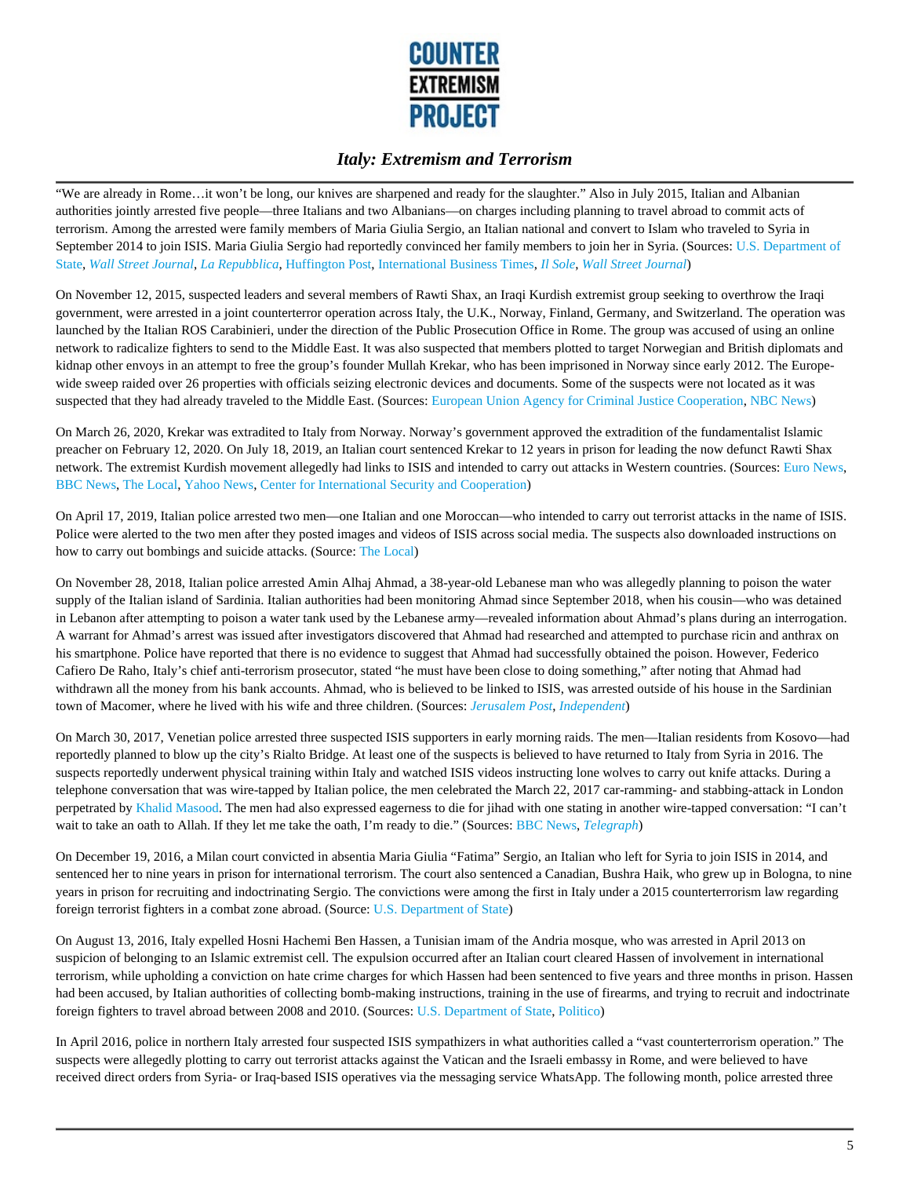

"We are already in Rome…it won't be long, our knives are sharpened and ready for the slaughter." Also in July 2015, Italian and Albanian authorities jointly arrested five people—three Italians and two Albanians—on charges including planning to travel abroad to commit acts of terrorism. Among the arrested were family members of Maria Giulia Sergio, an Italian national and convert to Islam who traveled to Syria in September 2014 to join ISIS. Maria Giulia Sergio had reportedly convinced her family members to join her in Syria. (Sources: U.S. Department of State, *Wall Street Journal*, *La Repubblica*, Huffington Post, International Business Times, *Il Sole*, *Wall Street Journal*)

On November 12, 2015, suspected leaders and several members of Rawti Shax, an Iraqi Kurdish extremist group seeking to overthrow the Iraqi government, were arrested in a joint counterterror operation across Italy, the U.K., Norway, Finland, Germany, and Switzerland. The operation was launched by the Italian ROS Carabinieri, under the direction of the Public Prosecution Office in Rome. The group was accused of using an online network to radicalize fighters to send to the Middle East. It was also suspected that members plotted to target Norwegian and British diplomats and kidnap other envoys in an attempt to free the group's founder Mullah Krekar, who has been imprisoned in Norway since early 2012. The Europewide sweep raided over 26 properties with officials seizing electronic devices and documents. Some of the suspects were not located as it was suspected that they had already traveled to the Middle East. (Sources: European Union Agency for Criminal Justice Cooperation, NBC News)

On March 26, 2020, Krekar was extradited to Italy from Norway. Norway's government approved the extradition of the fundamentalist Islamic preacher on February 12, 2020. On July 18, 2019, an Italian court sentenced Krekar to 12 years in prison for leading the now defunct Rawti Shax network. The extremist Kurdish movement allegedly had links to ISIS and intended to carry out attacks in Western countries. (Sources: Euro News, BBC News, The Local, Yahoo News, Center for International Security and Cooperation)

On April 17, 2019, Italian police arrested two men—one Italian and one Moroccan—who intended to carry out terrorist attacks in the name of ISIS. Police were alerted to the two men after they posted images and videos of ISIS across social media. The suspects also downloaded instructions on how to carry out bombings and suicide attacks. (Source: The Local)

On November 28, 2018, Italian police arrested Amin Alhaj Ahmad, a 38-year-old Lebanese man who was allegedly planning to poison the water supply of the Italian island of Sardinia. Italian authorities had been monitoring Ahmad since September 2018, when his cousin—who was detained in Lebanon after attempting to poison a water tank used by the Lebanese army—revealed information about Ahmad's plans during an interrogation. A warrant for Ahmad's arrest was issued after investigators discovered that Ahmad had researched and attempted to purchase ricin and anthrax on his smartphone. Police have reported that there is no evidence to suggest that Ahmad had successfully obtained the poison. However, Federico Cafiero De Raho, Italy's chief anti-terrorism prosecutor, stated "he must have been close to doing something," after noting that Ahmad had withdrawn all the money from his bank accounts. Ahmad, who is believed to be linked to ISIS, was arrested outside of his house in the Sardinian town of Macomer, where he lived with his wife and three children. (Sources: *Jerusalem Post*, *Independent*)

On March 30, 2017, Venetian police arrested three suspected ISIS supporters in early morning raids. The men—Italian residents from Kosovo—had reportedly planned to blow up the city's Rialto Bridge. At least one of the suspects is believed to have returned to Italy from Syria in 2016. The suspects reportedly underwent physical training within Italy and watched ISIS videos instructing lone wolves to carry out knife attacks. During a telephone conversation that was wire-tapped by Italian police, the men celebrated the March 22, 2017 car-ramming- and stabbing-attack in London perpetrated by Khalid Masood. The men had also expressed eagerness to die for jihad with one stating in another wire-tapped conversation: "I can't wait to take an oath to Allah. If they let me take the oath, I'm ready to die." (Sources: BBC News, *Telegraph*)

On December 19, 2016, a Milan court convicted in absentia Maria Giulia "Fatima" Sergio, an Italian who left for Syria to join ISIS in 2014, and sentenced her to nine years in prison for international terrorism. The court also sentenced a Canadian, Bushra Haik, who grew up in Bologna, to nine years in prison for recruiting and indoctrinating Sergio. The convictions were among the first in Italy under a 2015 counterterrorism law regarding foreign terrorist fighters in a combat zone abroad. (Source: U.S. Department of State)

On August 13, 2016, Italy expelled Hosni Hachemi Ben Hassen, a Tunisian imam of the Andria mosque, who was arrested in April 2013 on suspicion of belonging to an Islamic extremist cell. The expulsion occurred after an Italian court cleared Hassen of involvement in international terrorism, while upholding a conviction on hate crime charges for which Hassen had been sentenced to five years and three months in prison. Hassen had been accused, by Italian authorities of collecting bomb-making instructions, training in the use of firearms, and trying to recruit and indoctrinate foreign fighters to travel abroad between 2008 and 2010. (Sources: U.S. Department of State, Politico)

In April 2016, police in northern Italy arrested four suspected ISIS sympathizers in what authorities called a "vast counterterrorism operation." The suspects were allegedly plotting to carry out terrorist attacks against the Vatican and the Israeli embassy in Rome, and were believed to have received direct orders from Syria- or Iraq-based ISIS operatives via the messaging service WhatsApp. The following month, police arrested three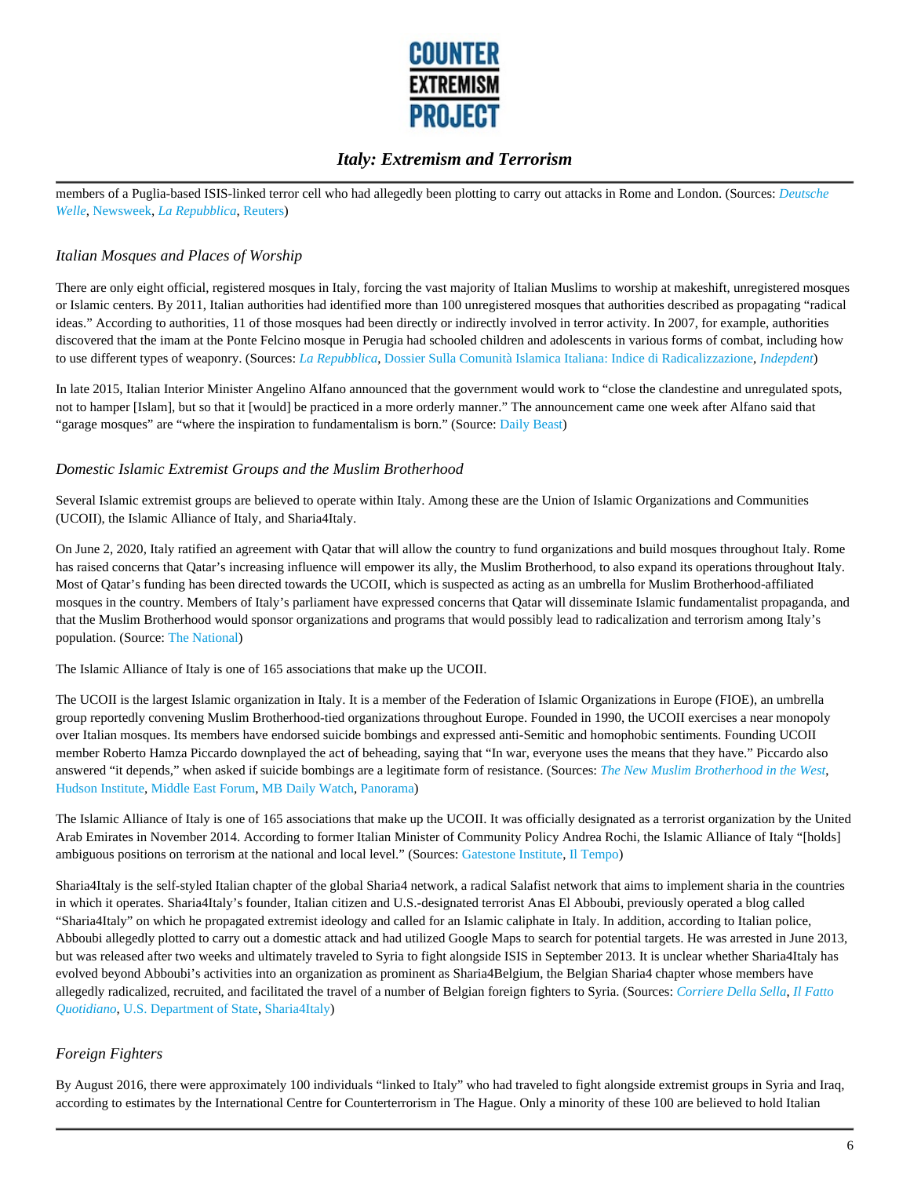

members of a Puglia-based ISIS-linked terror cell who had allegedly been plotting to carry out attacks in Rome and London. (Sources: *Deutsche Welle*, Newsweek, *La Repubblica*, Reuters)

#### *Italian Mosques and Places of Worship*

There are only eight official, registered mosques in Italy, forcing the vast majority of Italian Muslims to worship at makeshift, unregistered mosques or Islamic centers. By 2011, Italian authorities had identified more than 100 unregistered mosques that authorities described as propagating "radical ideas." According to authorities, 11 of those mosques had been directly or indirectly involved in terror activity. In 2007, for example, authorities discovered that the imam at the Ponte Felcino mosque in Perugia had schooled children and adolescents in various forms of combat, including how to use different types of weaponry. (Sources: *La Repubblica*, Dossier Sulla Comunità Islamica Italiana: Indice di Radicalizzazione, *Indepdent*)

In late 2015, Italian Interior Minister Angelino Alfano announced that the government would work to "close the clandestine and unregulated spots, not to hamper [Islam], but so that it [would] be practiced in a more orderly manner." The announcement came one week after Alfano said that "garage mosques" are "where the inspiration to fundamentalism is born." (Source: Daily Beast)

#### *Domestic Islamic Extremist Groups and the Muslim Brotherhood*

Several Islamic extremist groups are believed to operate within Italy. Among these are the Union of Islamic Organizations and Communities (UCOII), the Islamic Alliance of Italy, and Sharia4Italy.

On June 2, 2020, Italy ratified an agreement with Qatar that will allow the country to fund organizations and build mosques throughout Italy. Rome has raised concerns that Qatar's increasing influence will empower its ally, the Muslim Brotherhood, to also expand its operations throughout Italy. Most of Qatar's funding has been directed towards the UCOII, which is suspected as acting as an umbrella for Muslim Brotherhood-affiliated mosques in the country. Members of Italy's parliament have expressed concerns that Qatar will disseminate Islamic fundamentalist propaganda, and that the Muslim Brotherhood would sponsor organizations and programs that would possibly lead to radicalization and terrorism among Italy's population. (Source: The National)

The Islamic Alliance of Italy is one of 165 associations that make up the UCOII.

The UCOII is the largest Islamic organization in Italy. It is a member of the Federation of Islamic Organizations in Europe (FIOE), an umbrella group reportedly convening Muslim Brotherhood-tied organizations throughout Europe. Founded in 1990, the UCOII exercises a near monopoly over Italian mosques. Its members have endorsed suicide bombings and expressed anti-Semitic and homophobic sentiments. Founding UCOII member Roberto Hamza Piccardo downplayed the act of beheading, saying that "In war, everyone uses the means that they have." Piccardo also answered "it depends," when asked if suicide bombings are a legitimate form of resistance. (Sources: *The New Muslim Brotherhood in the West*, Hudson Institute, Middle East Forum, MB Daily Watch, Panorama)

The Islamic Alliance of Italy is one of 165 associations that make up the UCOII. It was officially designated as a terrorist organization by the United Arab Emirates in November 2014. According to former Italian Minister of Community Policy Andrea Rochi, the Islamic Alliance of Italy "[holds] ambiguous positions on terrorism at the national and local level." (Sources: Gatestone Institute, Il Tempo)

Sharia4Italy is the self-styled Italian chapter of the global Sharia4 network, a radical Salafist network that aims to implement sharia in the countries in which it operates. Sharia4Italy's founder, Italian citizen and U.S.-designated terrorist Anas El Abboubi, previously operated a blog called "Sharia4Italy" on which he propagated extremist ideology and called for an Islamic caliphate in Italy. In addition, according to Italian police, Abboubi allegedly plotted to carry out a domestic attack and had utilized Google Maps to search for potential targets. He was arrested in June 2013, but was released after two weeks and ultimately traveled to Syria to fight alongside ISIS in September 2013. It is unclear whether Sharia4Italy has evolved beyond Abboubi's activities into an organization as prominent as Sharia4Belgium, the Belgian Sharia4 chapter whose members have allegedly radicalized, recruited, and facilitated the travel of a number of Belgian foreign fighters to Syria. (Sources: *Corriere Della Sella*, *Il Fatto Quotidiano*, U.S. Department of State, Sharia4Italy)

### *Foreign Fighters*

By August 2016, there were approximately 100 individuals "linked to Italy" who had traveled to fight alongside extremist groups in Syria and Iraq, according to estimates by the International Centre for Counterterrorism in The Hague. Only a minority of these 100 are believed to hold Italian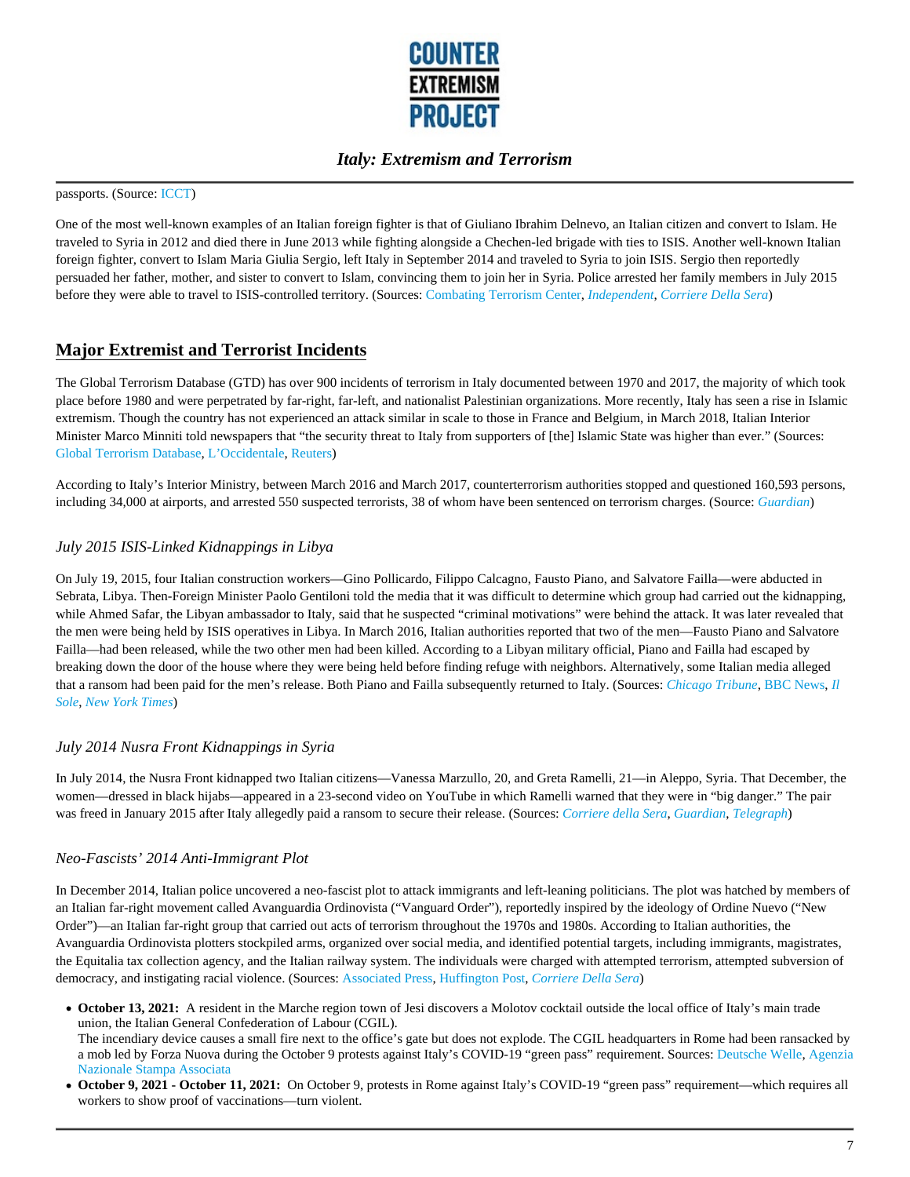

#### passports. (Source: ICCT)

One of the most well-known examples of an Italian foreign fighter is that of Giuliano Ibrahim Delnevo, an Italian citizen and convert to Islam. He traveled to Syria in 2012 and died there in June 2013 while fighting alongside a Chechen-led brigade with ties to ISIS. Another well-known Italian foreign fighter, convert to Islam Maria Giulia Sergio, left Italy in September 2014 and traveled to Syria to join ISIS. Sergio then reportedly persuaded her father, mother, and sister to convert to Islam, convincing them to join her in Syria. Police arrested her family members in July 2015 before they were able to travel to ISIS-controlled territory. (Sources: Combating Terrorism Center, *Independent*, *Corriere Della Sera*)

### **Major Extremist and Terrorist Incidents**

The Global Terrorism Database (GTD) has over 900 incidents of terrorism in Italy documented between 1970 and 2017, the majority of which took place before 1980 and were perpetrated by far-right, far-left, and nationalist Palestinian organizations. More recently, Italy has seen a rise in Islamic extremism. Though the country has not experienced an attack similar in scale to those in France and Belgium, in March 2018, Italian Interior Minister Marco Minniti told newspapers that "the security threat to Italy from supporters of [the] Islamic State was higher than ever." (Sources: Global Terrorism Database, L'Occidentale, Reuters)

According to Italy's Interior Ministry, between March 2016 and March 2017, counterterrorism authorities stopped and questioned 160,593 persons, including 34,000 at airports, and arrested 550 suspected terrorists, 38 of whom have been sentenced on terrorism charges. (Source: *Guardian*)

#### *July 2015 ISIS-Linked Kidnappings in Libya*

On July 19, 2015, four Italian construction workers—Gino Pollicardo, Filippo Calcagno, Fausto Piano, and Salvatore Failla—were abducted in Sebrata, Libya. Then-Foreign Minister Paolo Gentiloni told the media that it was difficult to determine which group had carried out the kidnapping, while Ahmed Safar, the Libyan ambassador to Italy, said that he suspected "criminal motivations" were behind the attack. It was later revealed that the men were being held by ISIS operatives in Libya. In March 2016, Italian authorities reported that two of the men—Fausto Piano and Salvatore Failla—had been released, while the two other men had been killed. According to a Libyan military official, Piano and Failla had escaped by breaking down the door of the house where they were being held before finding refuge with neighbors. Alternatively, some Italian media alleged that a ransom had been paid for the men's release. Both Piano and Failla subsequently returned to Italy. (Sources: *Chicago Tribune*, BBC News, *Il Sole*, *New York Times*)

#### *July 2014 Nusra Front Kidnappings in Syria*

In July 2014, the Nusra Front kidnapped two Italian citizens—Vanessa Marzullo, 20, and Greta Ramelli, 21—in Aleppo, Syria. That December, the women—dressed in black hijabs—appeared in a 23-second video on YouTube in which Ramelli warned that they were in "big danger." The pair was freed in January 2015 after Italy allegedly paid a ransom to secure their release. (Sources: *Corriere della Sera*, *Guardian*, *Telegraph*)

#### *Neo-Fascists' 2014 Anti-Immigrant Plot*

In December 2014, Italian police uncovered a neo-fascist plot to attack immigrants and left-leaning politicians. The plot was hatched by members of an Italian far-right movement called Avanguardia Ordinovista ("Vanguard Order"), reportedly inspired by the ideology of Ordine Nuevo ("New Order")—an Italian far-right group that carried out acts of terrorism throughout the 1970s and 1980s. According to Italian authorities, the Avanguardia Ordinovista plotters stockpiled arms, organized over social media, and identified potential targets, including immigrants, magistrates, the Equitalia tax collection agency, and the Italian railway system. The individuals were charged with attempted terrorism, attempted subversion of democracy, and instigating racial violence. (Sources: Associated Press, Huffington Post, *Corriere Della Sera*)

- **October 13, 2021:** A resident in the Marche region town of Jesi discovers a Molotov cocktail outside the local office of Italy's main trade union, the Italian General Confederation of Labour (CGIL). The incendiary device causes a small fire next to the office's gate but does not explode. The CGIL headquarters in Rome had been ransacked by a mob led by Forza Nuova during the October 9 protests against Italy's COVID-19 "green pass" requirement. Sources: Deutsche Welle, Agenzia Nazionale Stampa Associata
- **October 9, 2021 October 11, 2021:** On October 9, protests in Rome against Italy's COVID-19 "green pass" requirement—which requires all workers to show proof of vaccinations—turn violent.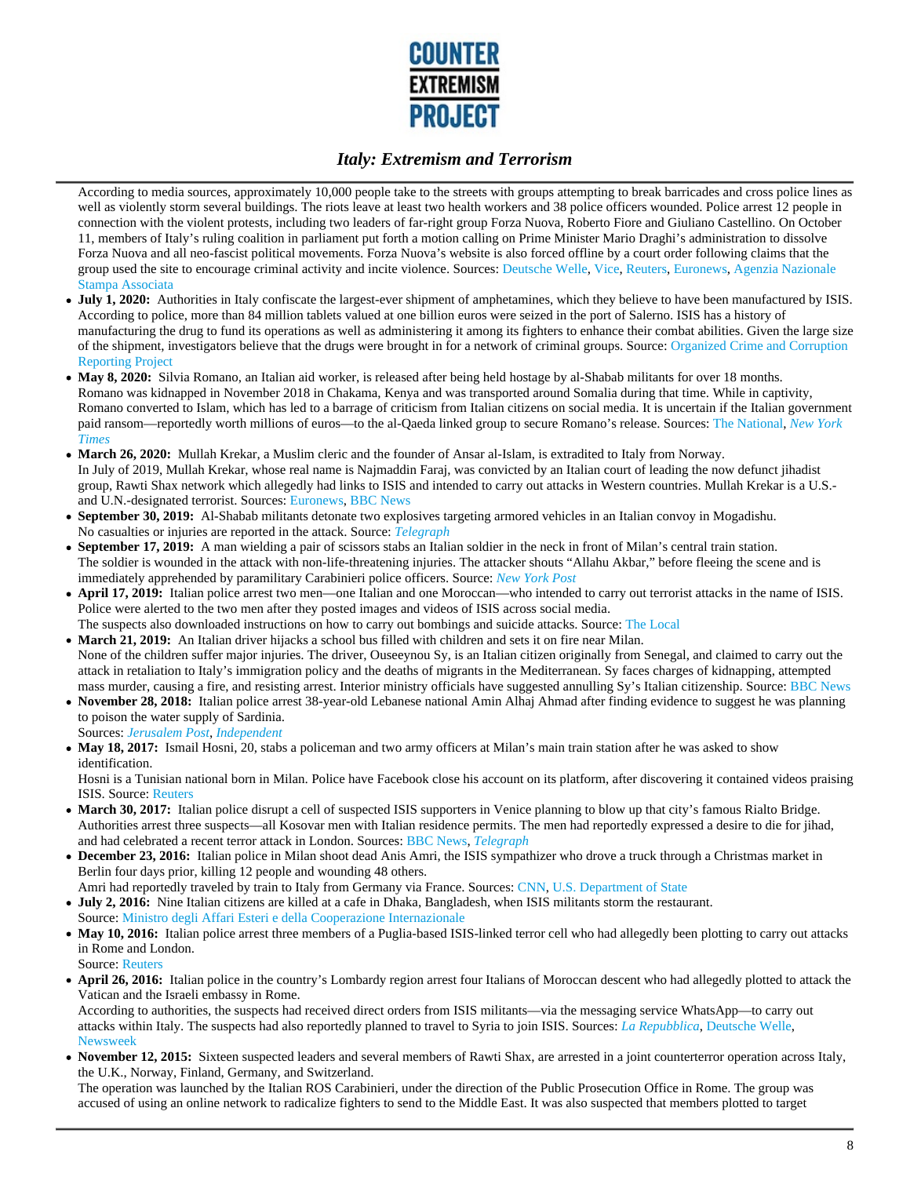

According to media sources, approximately 10,000 people take to the streets with groups attempting to break barricades and cross police lines as well as violently storm several buildings. The riots leave at least two health workers and 38 police officers wounded. Police arrest 12 people in connection with the violent protests, including two leaders of far-right group Forza Nuova, Roberto Fiore and Giuliano Castellino. On October 11, members of Italy's ruling coalition in parliament put forth a motion calling on Prime Minister Mario Draghi's administration to dissolve Forza Nuova and all neo-fascist political movements. Forza Nuova's website is also forced offline by a court order following claims that the group used the site to encourage criminal activity and incite violence. Sources: Deutsche Welle, Vice, Reuters, Euronews, Agenzia Nazionale Stampa Associata

- July 1, 2020: Authorities in Italy confiscate the largest-ever shipment of amphetamines, which they believe to have been manufactured by ISIS. According to police, more than 84 million tablets valued at one billion euros were seized in the port of Salerno. ISIS has a history of manufacturing the drug to fund its operations as well as administering it among its fighters to enhance their combat abilities. Given the large size of the shipment, investigators believe that the drugs were brought in for a network of criminal groups. Source: Organized Crime and Corruption Reporting Project
- May 8, 2020: Silvia Romano, an Italian aid worker, is released after being held hostage by al-Shabab militants for over 18 months. Romano was kidnapped in November 2018 in Chakama, Kenya and was transported around Somalia during that time. While in captivity, Romano converted to Islam, which has led to a barrage of criticism from Italian citizens on social media. It is uncertain if the Italian government paid ransom—reportedly worth millions of euros—to the al-Qaeda linked group to secure Romano's release. Sources: The National, *New York Times*
- **March 26, 2020:** Mullah Krekar, a Muslim cleric and the founder of Ansar al-Islam, is extradited to Italy from Norway. In July of 2019, Mullah Krekar, whose real name is Najmaddin Faraj, was convicted by an Italian court of leading the now defunct jihadist group, Rawti Shax network which allegedly had links to ISIS and intended to carry out attacks in Western countries. Mullah Krekar is a U.S. and U.N.-designated terrorist. Sources: Euronews, BBC News
- **September 30, 2019:** Al-Shabab militants detonate two explosives targeting armored vehicles in an Italian convoy in Mogadishu. No casualties or injuries are reported in the attack. Source: *Telegraph*
- **September 17, 2019:** A man wielding a pair of scissors stabs an Italian soldier in the neck in front of Milan's central train station. The soldier is wounded in the attack with non-life-threatening injuries. The attacker shouts "Allahu Akbar," before fleeing the scene and is immediately apprehended by paramilitary Carabinieri police officers. Source: *New York Post*
- **April 17, 2019:** Italian police arrest two men—one Italian and one Moroccan—who intended to carry out terrorist attacks in the name of ISIS. Police were alerted to the two men after they posted images and videos of ISIS across social media. The suspects also downloaded instructions on how to carry out bombings and suicide attacks. Source: The Local
- **March 21, 2019:** An Italian driver hijacks a school bus filled with children and sets it on fire near Milan. None of the children suffer major injuries. The driver, Ouseeynou Sy, is an Italian citizen originally from Senegal, and claimed to carry out the attack in retaliation to Italy's immigration policy and the deaths of migrants in the Mediterranean. Sy faces charges of kidnapping, attempted mass murder, causing a fire, and resisting arrest. Interior ministry officials have suggested annulling Sy's Italian citizenship. Source: BBC News
- **November 28, 2018:** Italian police arrest 38-year-old Lebanese national Amin Alhaj Ahmad after finding evidence to suggest he was planning to poison the water supply of Sardinia. Sources: *Jerusalem Post*, *Independent*
- May 18, 2017: Ismail Hosni, 20, stabs a policeman and two army officers at Milan's main train station after he was asked to show identification.

Hosni is a Tunisian national born in Milan. Police have Facebook close his account on its platform, after discovering it contained videos praising ISIS. Source: Reuters

- **March 30, 2017:** Italian police disrupt a cell of suspected ISIS supporters in Venice planning to blow up that city's famous Rialto Bridge. Authorities arrest three suspects—all Kosovar men with Italian residence permits. The men had reportedly expressed a desire to die for jihad, and had celebrated a recent terror attack in London. Sources: BBC News, *Telegraph*
- **December 23, 2016:** Italian police in Milan shoot dead Anis Amri, the ISIS sympathizer who drove a truck through a Christmas market in Berlin four days prior, killing 12 people and wounding 48 others.
- Amri had reportedly traveled by train to Italy from Germany via France. Sources: CNN, U.S. Department of State **July 2, 2016:** Nine Italian citizens are killed at a cafe in Dhaka, Bangladesh, when ISIS militants storm the restaurant. Source: Ministro degli Affari Esteri e della Cooperazione Internazionale
- May 10, 2016: Italian police arrest three members of a Puglia-based ISIS-linked terror cell who had allegedly been plotting to carry out attacks in Rome and London.
- Source: Reuters **April 26, 2016:** Italian police in the country's Lombardy region arrest four Italians of Moroccan descent who had allegedly plotted to attack the Vatican and the Israeli embassy in Rome.

According to authorities, the suspects had received direct orders from ISIS militants—via the messaging service WhatsApp—to carry out attacks within Italy. The suspects had also reportedly planned to travel to Syria to join ISIS. Sources: *La Repubblica*, Deutsche Welle, Newsweek

**November 12, 2015:** Sixteen suspected leaders and several members of Rawti Shax, are arrested in a joint counterterror operation across Italy, the U.K., Norway, Finland, Germany, and Switzerland.

The operation was launched by the Italian ROS Carabinieri, under the direction of the Public Prosecution Office in Rome. The group was accused of using an online network to radicalize fighters to send to the Middle East. It was also suspected that members plotted to target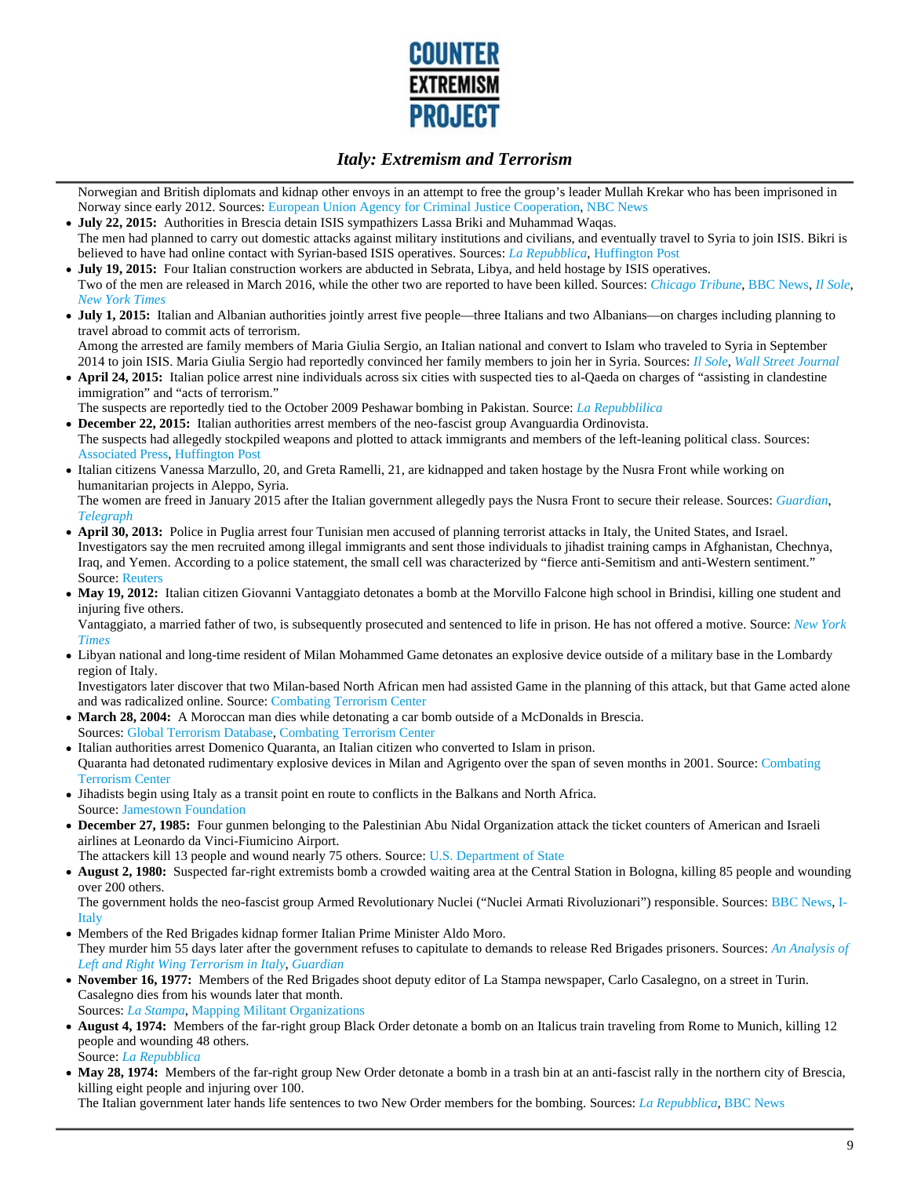

Norwegian and British diplomats and kidnap other envoys in an attempt to free the group's leader Mullah Krekar who has been imprisoned in Norway since early 2012. Sources: European Union Agency for Criminal Justice Cooperation, NBC News

- **July 22, 2015:** Authorities in Brescia detain ISIS sympathizers Lassa Briki and Muhammad Waqas. The men had planned to carry out domestic attacks against military institutions and civilians, and eventually travel to Syria to join ISIS. Bikri is believed to have had online contact with Syrian-based ISIS operatives. Sources: *La Repubblica*, Huffington Post
- **July 19, 2015:** Four Italian construction workers are abducted in Sebrata, Libya, and held hostage by ISIS operatives. Two of the men are released in March 2016, while the other two are reported to have been killed. Sources: *Chicago Tribune*, BBC News, *Il Sole*, *New York Times*
- **July 1, 2015:** Italian and Albanian authorities jointly arrest five people—three Italians and two Albanians—on charges including planning to travel abroad to commit acts of terrorism.

Among the arrested are family members of Maria Giulia Sergio, an Italian national and convert to Islam who traveled to Syria in September 2014 to join ISIS. Maria Giulia Sergio had reportedly convinced her family members to join her in Syria. Sources: *Il Sole*, *Wall Street Journal*

**April 24, 2015:** Italian police arrest nine individuals across six cities with suspected ties to al-Qaeda on charges of "assisting in clandestine immigration" and "acts of terrorism."

The suspects are reportedly tied to the October 2009 Peshawar bombing in Pakistan. Source: *La Repubblilica*

- **December 22, 2015:** Italian authorities arrest members of the neo-fascist group Avanguardia Ordinovista. The suspects had allegedly stockpiled weapons and plotted to attack immigrants and members of the left-leaning political class. Sources: Associated Press, Huffington Post
- Italian citizens Vanessa Marzullo, 20, and Greta Ramelli, 21, are kidnapped and taken hostage by the Nusra Front while working on humanitarian projects in Aleppo, Syria. The women are freed in January 2015 after the Italian government allegedly pays the Nusra Front to secure their release. Sources: *Guardian*,
- *Telegraph* **April 30, 2013:** Police in Puglia arrest four Tunisian men accused of planning terrorist attacks in Italy, the United States, and Israel. Investigators say the men recruited among illegal immigrants and sent those individuals to jihadist training camps in Afghanistan, Chechnya, Iraq, and Yemen. According to a police statement, the small cell was characterized by "fierce anti-Semitism and anti-Western sentiment." Source: Reuters
- **May 19, 2012:** Italian citizen Giovanni Vantaggiato detonates a bomb at the Morvillo Falcone high school in Brindisi, killing one student and injuring five others.

Vantaggiato, a married father of two, is subsequently prosecuted and sentenced to life in prison. He has not offered a motive. Source: *New York Times*

Libyan national and long-time resident of Milan Mohammed Game detonates an explosive device outside of a military base in the Lombardy region of Italy.

Investigators later discover that two Milan-based North African men had assisted Game in the planning of this attack, but that Game acted alone and was radicalized online. Source: Combating Terrorism Center

- **March 28, 2004:** A Moroccan man dies while detonating a car bomb outside of a McDonalds in Brescia.
- Sources: Global Terrorism Database, Combating Terrorism Center
- Italian authorities arrest Domenico Quaranta, an Italian citizen who converted to Islam in prison. Quaranta had detonated rudimentary explosive devices in Milan and Agrigento over the span of seven months in 2001. Source: Combating Terrorism Center
- Jihadists begin using Italy as a transit point en route to conflicts in the Balkans and North Africa. Source: Jamestown Foundation
- **December 27, 1985:** Four gunmen belonging to the Palestinian Abu Nidal Organization attack the ticket counters of American and Israeli airlines at Leonardo da Vinci-Fiumicino Airport.
- The attackers kill 13 people and wound nearly 75 others. Source: U.S. Department of State
- **August 2, 1980:** Suspected far-right extremists bomb a crowded waiting area at the Central Station in Bologna, killing 85 people and wounding over 200 others.

The government holds the neo-fascist group Armed Revolutionary Nuclei ("Nuclei Armati Rivoluzionari") responsible. Sources: BBC News, I-**Italy** 

- Members of the Red Brigades kidnap former Italian Prime Minister Aldo Moro. They murder him 55 days later after the government refuses to capitulate to demands to release Red Brigades prisoners. Sources: *An Analysis of Left and Right Wing Terrorism in Italy*, *Guardian*
- **November 16, 1977:** Members of the Red Brigades shoot deputy editor of La Stampa newspaper, Carlo Casalegno, on a street in Turin. Casalegno dies from his wounds later that month.
- Sources: *La Stampa*, Mapping Militant Organizations **August 4, 1974:** Members of the far-right group Black Order detonate a bomb on an Italicus train traveling from Rome to Munich, killing 12 people and wounding 48 others. Source: *La Repubblica*
- May 28, 1974: Members of the far-right group New Order detonate a bomb in a trash bin at an anti-fascist rally in the northern city of Brescia, killing eight people and injuring over 100.

The Italian government later hands life sentences to two New Order members for the bombing. Sources: *La Repubblica*, BBC News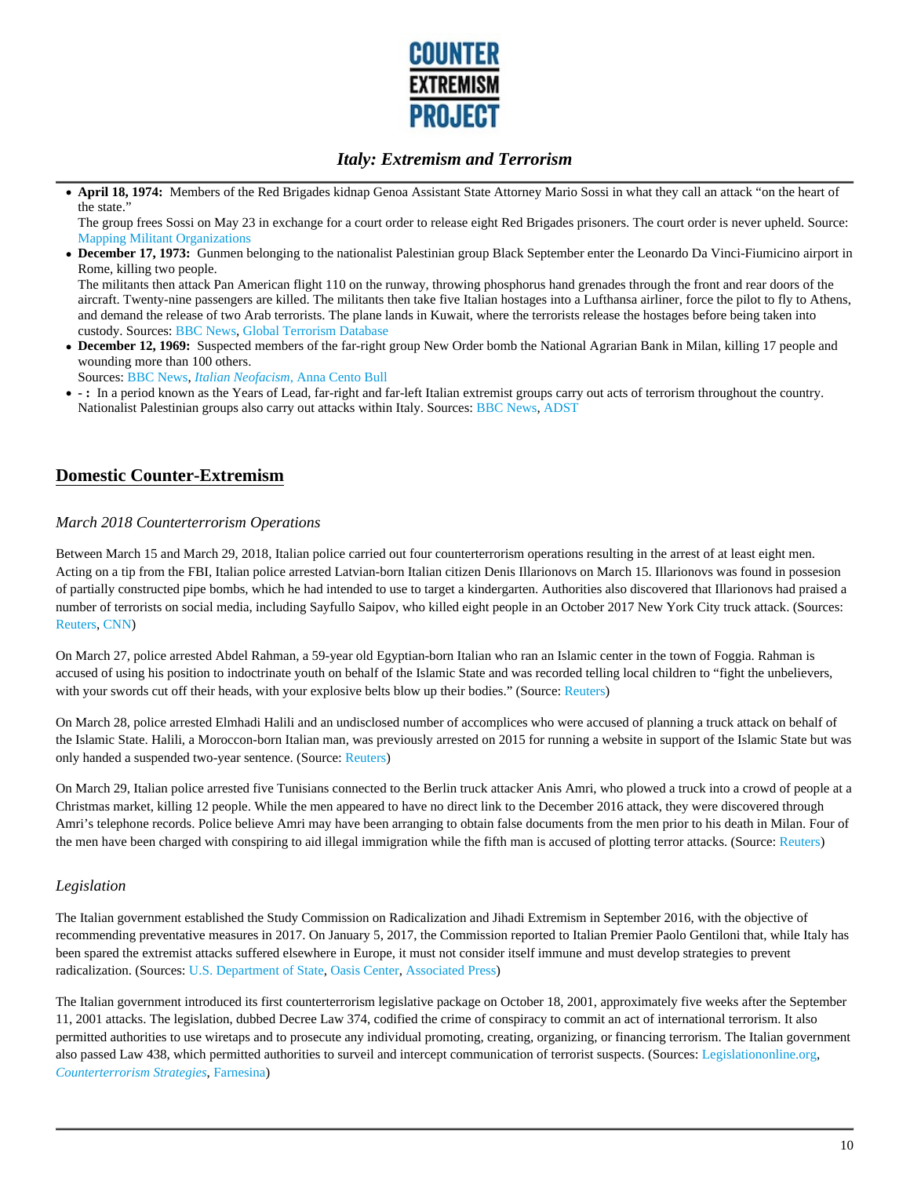

**April 18, 1974:** Members of the Red Brigades kidnap Genoa Assistant State Attorney Mario Sossi in what they call an attack "on the heart of the state."

The group frees Sossi on May 23 in exchange for a court order to release eight Red Brigades prisoners. The court order is never upheld. Source: Mapping Militant Organizations

**December 17, 1973:** Gunmen belonging to the nationalist Palestinian group Black September enter the Leonardo Da Vinci-Fiumicino airport in Rome, killing two people.

The militants then attack Pan American flight 110 on the runway, throwing phosphorus hand grenades through the front and rear doors of the aircraft. Twenty-nine passengers are killed. The militants then take five Italian hostages into a Lufthansa airliner, force the pilot to fly to Athens, and demand the release of two Arab terrorists. The plane lands in Kuwait, where the terrorists release the hostages before being taken into custody. Sources: BBC News, Global Terrorism Database

**December 12, 1969:** Suspected members of the far-right group New Order bomb the National Agrarian Bank in Milan, killing 17 people and wounding more than 100 others.

Sources: BBC News, *Italian Neofacism*, Anna Cento Bull

**- :** In a period known as the Years of Lead, far-right and far-left Italian extremist groups carry out acts of terrorism throughout the country. Nationalist Palestinian groups also carry out attacks within Italy. Sources: BBC News, ADST

## **Domestic Counter-Extremism**

#### *March 2018 Counterterrorism Operations*

Between March 15 and March 29, 2018, Italian police carried out four counterterrorism operations resulting in the arrest of at least eight men. Acting on a tip from the FBI, Italian police arrested Latvian-born Italian citizen Denis Illarionovs on March 15. Illarionovs was found in possesion of partially constructed pipe bombs, which he had intended to use to target a kindergarten. Authorities also discovered that Illarionovs had praised a number of terrorists on social media, including Sayfullo Saipov, who killed eight people in an October 2017 New York City truck attack. (Sources: Reuters, CNN)

On March 27, police arrested Abdel Rahman, a 59-year old Egyptian-born Italian who ran an Islamic center in the town of Foggia. Rahman is accused of using his position to indoctrinate youth on behalf of the Islamic State and was recorded telling local children to "fight the unbelievers, with your swords cut off their heads, with your explosive belts blow up their bodies." (Source: Reuters)

On March 28, police arrested Elmhadi Halili and an undisclosed number of accomplices who were accused of planning a truck attack on behalf of the Islamic State. Halili, a Moroccon-born Italian man, was previously arrested on 2015 for running a website in support of the Islamic State but was only handed a suspended two-year sentence. (Source: Reuters)

On March 29, Italian police arrested five Tunisians connected to the Berlin truck attacker Anis Amri, who plowed a truck into a crowd of people at a Christmas market, killing 12 people. While the men appeared to have no direct link to the December 2016 attack, they were discovered through Amri's telephone records. Police believe Amri may have been arranging to obtain false documents from the men prior to his death in Milan. Four of the men have been charged with conspiring to aid illegal immigration while the fifth man is accused of plotting terror attacks. (Source: Reuters)

#### *Legislation*

The Italian government established the Study Commission on Radicalization and Jihadi Extremism in September 2016, with the objective of recommending preventative measures in 2017. On January 5, 2017, the Commission reported to Italian Premier Paolo Gentiloni that, while Italy has been spared the extremist attacks suffered elsewhere in Europe, it must not consider itself immune and must develop strategies to prevent radicalization. (Sources: U.S. Department of State, Oasis Center, Associated Press)

The Italian government introduced its first counterterrorism legislative package on October 18, 2001, approximately five weeks after the September 11, 2001 attacks. The legislation, dubbed Decree Law 374, codified the crime of conspiracy to commit an act of international terrorism. It also permitted authorities to use wiretaps and to prosecute any individual promoting, creating, organizing, or financing terrorism. The Italian government also passed Law 438, which permitted authorities to surveil and intercept communication of terrorist suspects. (Sources: Legislationonline.org, *Counterterrorism Strategies*, Farnesina)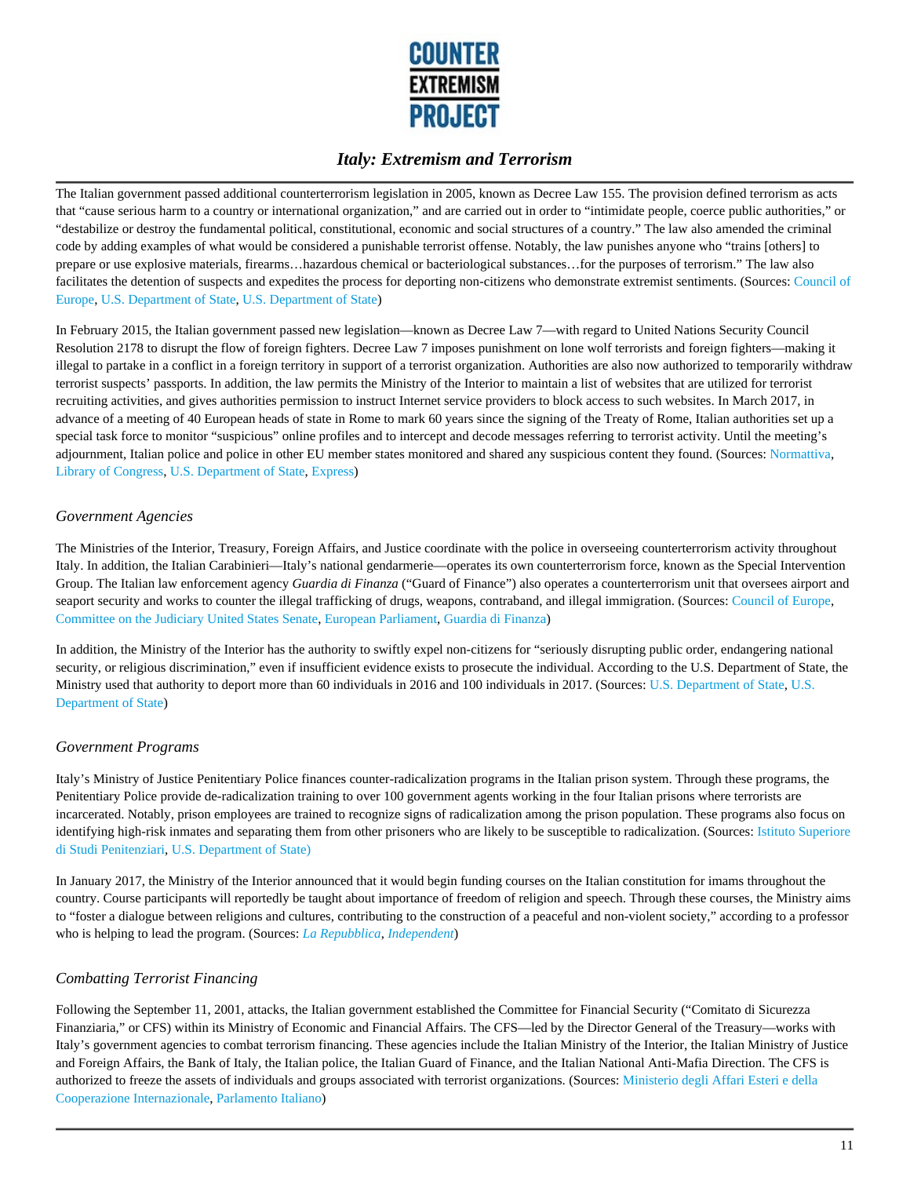

The Italian government passed additional counterterrorism legislation in 2005, known as Decree Law 155. The provision defined terrorism as acts that "cause serious harm to a country or international organization," and are carried out in order to "intimidate people, coerce public authorities," or "destabilize or destroy the fundamental political, constitutional, economic and social structures of a country." The law also amended the criminal code by adding examples of what would be considered a punishable terrorist offense. Notably, the law punishes anyone who "trains [others] to prepare or use explosive materials, firearms…hazardous chemical or bacteriological substances…for the purposes of terrorism." The law also facilitates the detention of suspects and expedites the process for deporting non-citizens who demonstrate extremist sentiments. (Sources: Council of Europe, U.S. Department of State, U.S. Department of State)

In February 2015, the Italian government passed new legislation—known as Decree Law 7—with regard to United Nations Security Council Resolution 2178 to disrupt the flow of foreign fighters. Decree Law 7 imposes punishment on lone wolf terrorists and foreign fighters—making it illegal to partake in a conflict in a foreign territory in support of a terrorist organization. Authorities are also now authorized to temporarily withdraw terrorist suspects' passports. In addition, the law permits the Ministry of the Interior to maintain a list of websites that are utilized for terrorist recruiting activities, and gives authorities permission to instruct Internet service providers to block access to such websites. In March 2017, in advance of a meeting of 40 European heads of state in Rome to mark 60 years since the signing of the Treaty of Rome, Italian authorities set up a special task force to monitor "suspicious" online profiles and to intercept and decode messages referring to terrorist activity. Until the meeting's adjournment, Italian police and police in other EU member states monitored and shared any suspicious content they found. (Sources: Normattiva, Library of Congress, U.S. Department of State, Express)

### *Government Agencies*

The Ministries of the Interior, Treasury, Foreign Affairs, and Justice coordinate with the police in overseeing counterterrorism activity throughout Italy. In addition, the Italian Carabinieri—Italy's national gendarmerie—operates its own counterterrorism force, known as the Special Intervention Group. The Italian law enforcement agency *Guardia di Finanza* ("Guard of Finance") also operates a counterterrorism unit that oversees airport and seaport security and works to counter the illegal trafficking of drugs, weapons, contraband, and illegal immigration. (Sources: Council of Europe, Committee on the Judiciary United States Senate, European Parliament, Guardia di Finanza)

In addition, the Ministry of the Interior has the authority to swiftly expel non-citizens for "seriously disrupting public order, endangering national security, or religious discrimination," even if insufficient evidence exists to prosecute the individual. According to the U.S. Department of State, the Ministry used that authority to deport more than 60 individuals in 2016 and 100 individuals in 2017. (Sources: U.S. Department of State, U.S. Department of State)

#### *Government Programs*

Italy's Ministry of Justice Penitentiary Police finances counter-radicalization programs in the Italian prison system. Through these programs, the Penitentiary Police provide de-radicalization training to over 100 government agents working in the four Italian prisons where terrorists are incarcerated. Notably, prison employees are trained to recognize signs of radicalization among the prison population. These programs also focus on identifying high-risk inmates and separating them from other prisoners who are likely to be susceptible to radicalization. (Sources: Istituto Superiore di Studi Penitenziari, U.S. Department of State)

In January 2017, the Ministry of the Interior announced that it would begin funding courses on the Italian constitution for imams throughout the country. Course participants will reportedly be taught about importance of freedom of religion and speech. Through these courses, the Ministry aims to "foster a dialogue between religions and cultures, contributing to the construction of a peaceful and non-violent society," according to a professor who is helping to lead the program. (Sources: *La Repubblica*, *Independent*)

### *Combatting Terrorist Financing*

Following the September 11, 2001, attacks, the Italian government established the Committee for Financial Security ("Comitato di Sicurezza Finanziaria," or CFS) within its Ministry of Economic and Financial Affairs. The CFS—led by the Director General of the Treasury—works with Italy's government agencies to combat terrorism financing. These agencies include the Italian Ministry of the Interior, the Italian Ministry of Justice and Foreign Affairs, the Bank of Italy, the Italian police, the Italian Guard of Finance, and the Italian National Anti-Mafia Direction. The CFS is authorized to freeze the assets of individuals and groups associated with terrorist organizations. (Sources: Ministerio degli Affari Esteri e della Cooperazione Internazionale, Parlamento Italiano)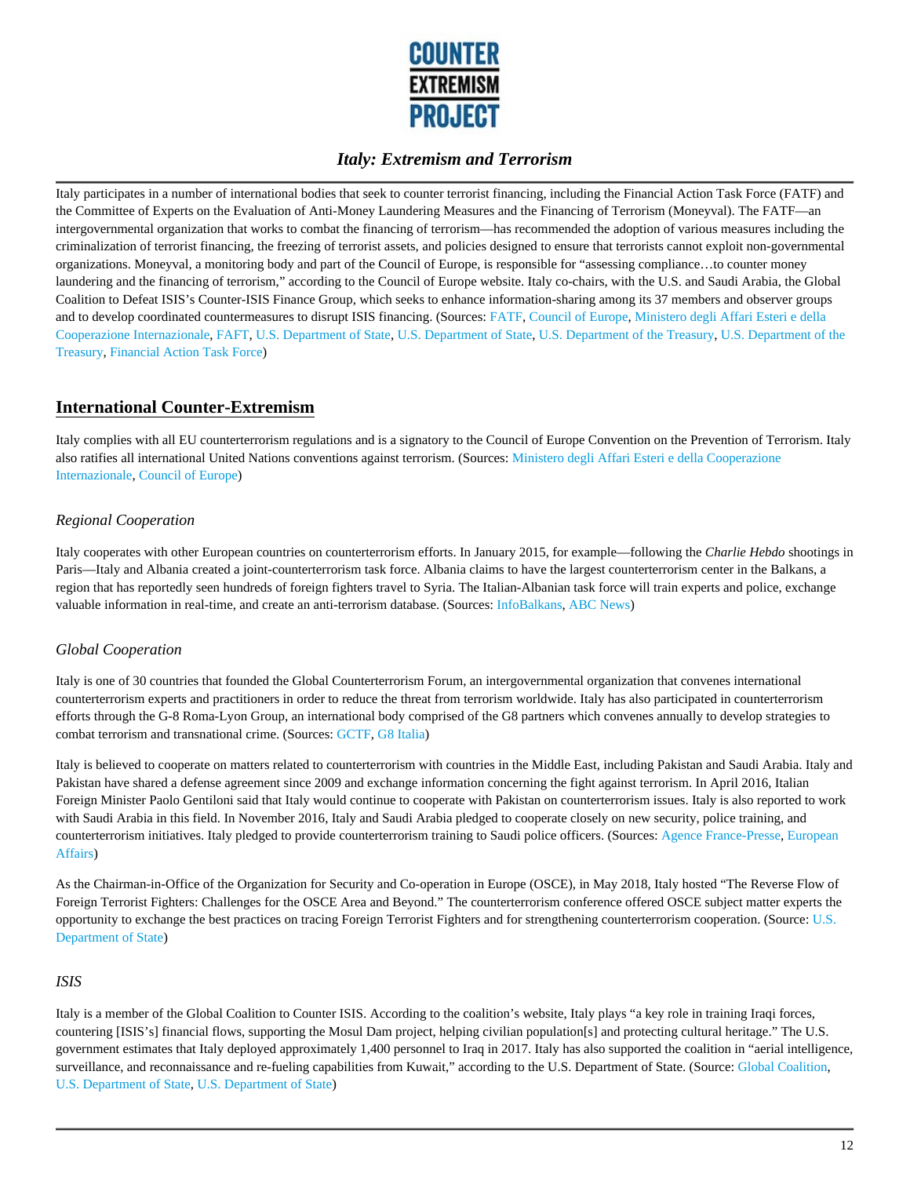

Italy participates in a number of international bodies that seek to counter terrorist financing, including the Financial Action Task Force (FATF) and the Committee of Experts on the Evaluation of Anti-Money Laundering Measures and the Financing of Terrorism (Moneyval). The FATF—an intergovernmental organization that works to combat the financing of terrorism—has recommended the adoption of various measures including the criminalization of terrorist financing, the freezing of terrorist assets, and policies designed to ensure that terrorists cannot exploit non-governmental organizations. Moneyval, a monitoring body and part of the Council of Europe, is responsible for "assessing compliance…to counter money laundering and the financing of terrorism," according to the Council of Europe website. Italy co-chairs, with the U.S. and Saudi Arabia, the Global Coalition to Defeat ISIS's Counter-ISIS Finance Group, which seeks to enhance information-sharing among its 37 members and observer groups and to develop coordinated countermeasures to disrupt ISIS financing. (Sources: FATF, Council of Europe, Ministero degli Affari Esteri e della Cooperazione Internazionale, FAFT, U.S. Department of State, U.S. Department of State, U.S. Department of the Treasury, U.S. Department of the Treasury, Financial Action Task Force)

## **International Counter-Extremism**

Italy complies with all EU counterterrorism regulations and is a signatory to the Council of Europe Convention on the Prevention of Terrorism. Italy also ratifies all international United Nations conventions against terrorism. (Sources: Ministero degli Affari Esteri e della Cooperazione Internazionale, Council of Europe)

### *Regional Cooperation*

Italy cooperates with other European countries on counterterrorism efforts. In January 2015, for example—following the *Charlie Hebdo* shootings in Paris—Italy and Albania created a joint-counterterrorism task force. Albania claims to have the largest counterterrorism center in the Balkans, a region that has reportedly seen hundreds of foreign fighters travel to Syria. The Italian-Albanian task force will train experts and police, exchange valuable information in real-time, and create an anti-terrorism database. (Sources: InfoBalkans, ABC News)

#### *Global Cooperation*

Italy is one of 30 countries that founded the Global Counterterrorism Forum, an intergovernmental organization that convenes international counterterrorism experts and practitioners in order to reduce the threat from terrorism worldwide. Italy has also participated in counterterrorism efforts through the G-8 Roma-Lyon Group, an international body comprised of the G8 partners which convenes annually to develop strategies to combat terrorism and transnational crime. (Sources: GCTF, G8 Italia)

Italy is believed to cooperate on matters related to counterterrorism with countries in the Middle East, including Pakistan and Saudi Arabia. Italy and Pakistan have shared a defense agreement since 2009 and exchange information concerning the fight against terrorism. In April 2016, Italian Foreign Minister Paolo Gentiloni said that Italy would continue to cooperate with Pakistan on counterterrorism issues. Italy is also reported to work with Saudi Arabia in this field. In November 2016, Italy and Saudi Arabia pledged to cooperate closely on new security, police training, and counterterrorism initiatives. Italy pledged to provide counterterrorism training to Saudi police officers. (Sources: Agence France-Presse, European Affairs)

As the Chairman-in-Office of the Organization for Security and Co-operation in Europe (OSCE), in May 2018, Italy hosted "The Reverse Flow of Foreign Terrorist Fighters: Challenges for the OSCE Area and Beyond." The counterterrorism conference offered OSCE subject matter experts the opportunity to exchange the best practices on tracing Foreign Terrorist Fighters and for strengthening counterterrorism cooperation. (Source: U.S. Department of State)

#### *ISIS*

Italy is a member of the Global Coalition to Counter ISIS. According to the coalition's website, Italy plays "a key role in training Iraqi forces, countering [ISIS's] financial flows, supporting the Mosul Dam project, helping civilian population[s] and protecting cultural heritage." The U.S. government estimates that Italy deployed approximately 1,400 personnel to Iraq in 2017. Italy has also supported the coalition in "aerial intelligence, surveillance, and reconnaissance and re-fueling capabilities from Kuwait," according to the U.S. Department of State. (Source: Global Coalition, U.S. Department of State, U.S. Department of State)